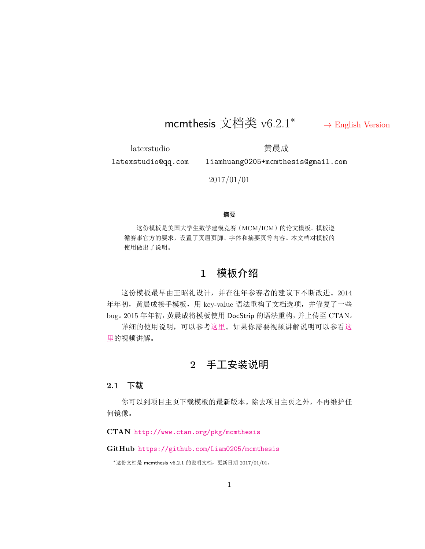# mcmthesis 文档类 v6.2.1*∗ →* [English Version](#page-5-0)

<span id="page-0-0"></span>latexstudio latexstudio@qq.com 黄晨成

liamhuang0205+mcmthesis@gmail.com

2017/01/01

#### 摘要

这份模板是美国大学生数学建模竞赛(MCM/ICM)的论文模板。模板遵 循赛事官方的要求,设置了页眉页脚、字体和摘要页等内容。本文档对模板的 使用做出了说明。

## **1** 模板介绍

这份模板最早由王昭礼设计,并在往年参赛者的建议下不断改进。2014 年年初,黄晨成接手模板,用 key-value 语法重构了文档选项,并修复了一些 bug。2015 年年初,黄晨成将模板使用 DocStrip 的语法重构,并上传至 CTAN。

详细的使用说明,可以参[考这里。](http://liam0205.me/2016/01/27/how-to-use-mcmthesis/)如果你需要视频讲解说明可以参看[这](https://item.taobao.com/item.htm?spm=a1z10.1-c.w4004-3473795048.4.ThFQCG&id=43823508044) [里](https://item.taobao.com/item.htm?spm=a1z10.1-c.w4004-3473795048.4.ThFQCG&id=43823508044)的视频讲解。

## **2** 手工安装说明

#### **2.1** 下载

你可以到项目主页下载模板的最新版本。除去项目主页之外,不再维护任 何镜像。

**CTAN** <http://www.ctan.org/pkg/mcmthesis>

**GitHub** <https://github.com/Liam0205/mcmthesis>

*<sup>∗</sup>*这份文档是 mcmthesis v6.2.1 的说明文档,更新日期 2017/01/01。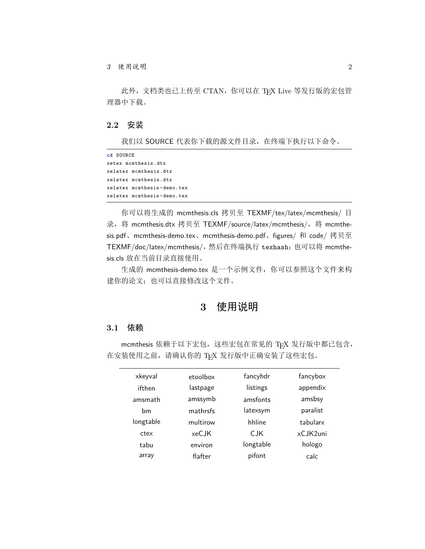此外,文档类也已上传至 CTAN,你可以在 TEX Live 等发行版的宏包管 理器中下载。

#### **2.2** 安装

我们以 SOURCE 代表你下载的源文件目录,在终端下执行以下命令。

```
cd SOURCE
xetex mcmthesis.dtx
xelatex mcmthesis.dtx
xelatex mcmthesis.dtx
xelatex mcmthesis -demo.tex
xelatex mcmthesis -demo.tex
```
你可以将生成的 mcmthesis.cls 拷贝至 TEXMF/tex/latex/mcmthesis/ 目 录, 将 mcmthesis.dtx 拷贝至 TEXMF/source/latex/mcmthesis/, 将 mcmthesis.pdf、mcmthesis-demo.tex、mcmthesis-demo.pdf、figures/ 和 code/ 拷贝至 TEXMF/doc/latex/mcmthesis/,然后在终端执行 texhash;也可以将 mcmthesis.cls 放在当前目录直接使用。

生成的 mcmthesis-demo.tex 是一个示例文件, 你可以参照这个文件来构 建你的论文;也可以直接修改这个文件。

## **3** 使用说明

#### **3.1** 依赖

mcmthesis 依赖于以下宏包,这些宏包在常见的 TFX 发行版中都已包含, 在安装使用之前,请确认你的 TpX 发行版中正确安装了这些宏包。

| xkeyval   | etoolbox | fancyhdr  | fancybox |
|-----------|----------|-----------|----------|
| ifthen    | lastpage | listings  | appendix |
| amsmath   | amssymb  | amsfonts  | amsbsy   |
| bm        | mathrsfs | latexsym  | paralist |
| longtable | multirow | hhline    | tabularx |
| ctex      | xeCJK    | C.IK      | xCJK2uni |
| tabu      | environ  | longtable | hologo   |
| array     | flafter  | pifont    | calc.    |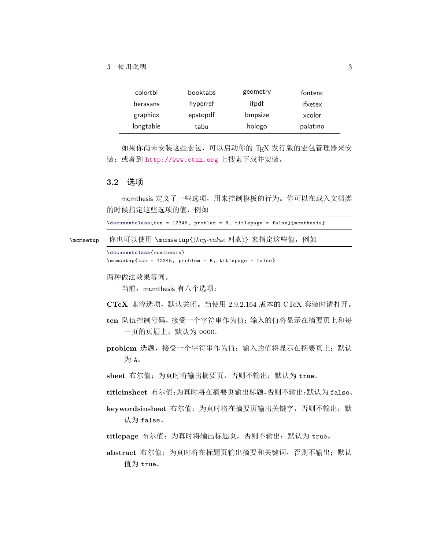| colortbl  | booktabs | geometry | fontenc  |
|-----------|----------|----------|----------|
| berasans  | hyperref | ifpdf    | ifxetex  |
| graphicx  | epstopdf | bmpsize  | xcolor   |
| longtable | tabu     | hologo   | palatino |

如果你尚未安装这些宏包,可以启动你的 TEX 发行版的宏包管理器来安 装; 或者到 <http://www.ctan.org> 上搜索下载并安装。

## **3.2** 选项

mcmthesis 定义了一些选项,用来控制模板的行为。你可以在载入文档类 的时候指定这些选项的值,例如

|           | $\dot{\text{documentclass}}$ [tcn = 12345, problem = B, titlepage = false]{mcmthesis} |
|-----------|---------------------------------------------------------------------------------------|
| \mcmsetup | 你也可以使用 \mcmsetup{(key-value 列表)} 来指定这些值, 例如                                           |
|           | \documentclass{mcmthesis}<br>\mcmsetup{tcn = 12345, problem = B, titlepage = false}   |
|           | 两种做法效果等同。<br>当前, mcmthesis 有八个选项:                                                     |
|           | CTeX 兼容选项, 默认关闭。当使用 2.9.2.164 版本的 CTeX 套装时请打开。                                        |
|           | tcn 队伍控制号码, 接受一个字符串作为值; 输入的值将显示在摘要页上和每<br>一页的页眉上: 默认为 0000。                           |
|           | problem 选题,接受一个字符串作为值; 输入的值将显示在摘要页上; 默认<br>为A。                                        |
|           | sheet 布尔值; 为真时将输出摘要页, 否则不输出; 默认为 true。                                                |
|           | titleinsheet 布尔值;为真时将在摘要页输出标题,否则不输出;默认为 false。                                        |
|           | keywordsinsheet 布尔值; 为真时将在摘要页输出关键字, 否则不输出; 默<br>认为 false。                             |
|           | titlepage 布尔值; 为真时将输出标题页, 否则不输出; 默认为 true。                                            |
|           | abstract 布尔值; 为真时将在标题页输出摘要和关键词, 否则不输出; 默认<br>值为 true。                                 |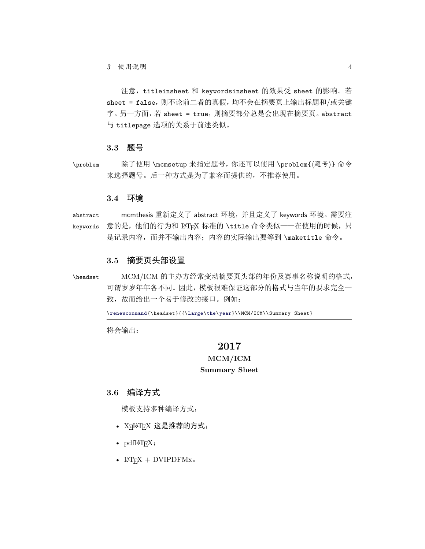注意, titleinsheet 和 keywordsinsheet 的效果受 sheet 的影响。若 sheet = false,则不论前二者的真假,均不会在摘要页上输出标题和/或关键 字。另一方面,若 sheet = true,则摘要部分总是会出现在摘要页。abstract 与 titlepage 选项的关系于前述类似。

#### **3.3** 题号

\problem 除了使用 \mcmsetup 来指定题号,你还可以使用 \problem{*⟨*题号*⟩*} 命令 来选择题号。后一种方式是为了兼容而提供的,不推荐使用。

#### **3.4** 环境

abstract mcmthesis 重新定义了 abstract 环境,并且定义了 keywords 环境。需要注 keywords 意的是,他们的行为和 IATFX 标准的 \title 命令类似——在使用的时候, 只 是记录内容,而并不输出内容;内容的实际输出要等到 \maketitle 命令。

#### **3.5** 摘要页头部设置

\headset MCM/ICM 的主办方经常变动摘要页头部的年份及赛事名称说明的格式, 可谓岁岁年年各不同。因此,模板很难保证这部分的格式与当年的要求完全一 致,故而给出一个易于修改的接口。例如:

\**renewcommand**{\headset}{{\**Large**\**the**\**year**}\\MCM/ICM\\Summary Sheet}

将会输出:

#### **2017**

## **MCM/ICM Summary Sheet**

### **3.6** 编译方式

模板支持多种编译方式:

- XqLATqX 这是推荐的方式;
- $pdfMFX;$
- $IATFX + DVIPDFMx.$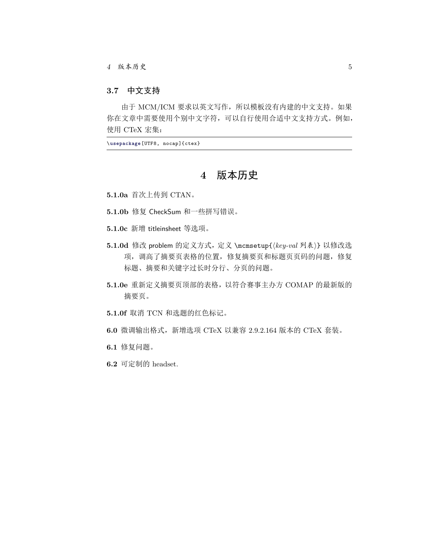#### **3.7** 中文支持

由于 MCM/ICM 要求以英文写作, 所以模板没有内建的中文支持。如果 你在文章中需要使用个别中文字符,可以自行使用合适中文支持方式。例如, 使用 CTeX 宏集:

\**usepackage**[UTF8, nocap]{ctex}

## **4** 版本历史

- **5.1.0a** 首次上传到 CTAN。
- **5.1.0b** 修复 CheckSum 和一些拼写错误。
- **5.1.0c** 新增 titleinsheet 等选项。
- **5.1.0d** 修改 problem 的定义方式,定义 \mcmsetup{*⟨key-val* 列表*⟩*} 以修改选 项,调高了摘要页表格的位置,修复摘要页和标题页页码的问题,修复 标题、摘要和关键字过长时分行、分页的问题。
- **5.1.0e** 重新定义摘要页顶部的表格,以符合赛事主办方 COMAP 的最新版的 摘要页。
- **5.1.0f** 取消 TCN 和选题的红色标记。
- **6.0** 微调输出格式,新增选项 CTeX 以兼容 2.9.2.164 版本的 CTeX 套装。
- **6.1** 修复问题。
- **6.2** 可定制的 headset.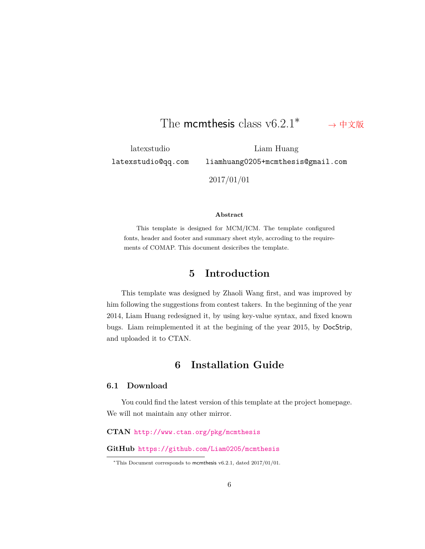#### The mcmthesis class v6.2.1*∗ →* [中文版](#page-0-0)

<span id="page-5-0"></span>latexstudio latexstudio@qq.com

Liam Huang liamhuang0205+mcmthesis@gmail.com

2017/01/01

#### **Abstract**

This template is designed for MCM/ICM. The template configured fonts, header and footer and summary sheet style, accroding to the requirements of COMAP. This document desicribes the template.

## **5 Introduction**

This template was designed by Zhaoli Wang first, and was improved by him following the suggestions from contest takers. In the beginning of the year 2014, Liam Huang redesigned it, by using key-value syntax, and fixed known bugs. Liam reimplemented it at the begining of the year 2015, by DocStrip, and uploaded it to CTAN.

## **6 Installation Guide**

#### **6.1 Download**

You could find the latest version of this template at the project homepage. We will not maintain any other mirror.

**CTAN** <http://www.ctan.org/pkg/mcmthesis>

**GitHub** <https://github.com/Liam0205/mcmthesis>

*<sup>∗</sup>*This Document corresponds to mcmthesis v6.2.1, dated 2017/01/01.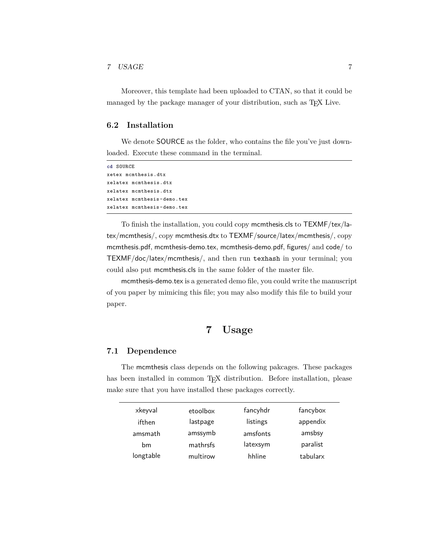#### *7 USAGE* 7

Moreover, this template had been uploaded to CTAN, so that it could be managed by the package manager of your distribution, such as TEX Live.

#### **6.2 Installation**

We denote SOURCE as the folder, who contains the file you've just downloaded. Execute these command in the terminal.

**cd** SOURCE xetex mcmthesis.dtx xelatex mcmthesis.dtx xelatex mcmthesis.dtx xelatex mcmthesis -demo.tex xelatex mcmthesis -demo.tex

To finish the installation, you could copy mcmthesis.cls to TEXMF/tex/latex/mcmthesis/, copy mcmthesis.dtx to TEXMF/source/latex/mcmthesis/, copy mcmthesis.pdf, mcmthesis-demo.tex, mcmthesis-demo.pdf, figures/ and code/ to TEXMF/doc/latex/mcmthesis/, and then run texhash in your terminal; you could also put mcmthesis.cls in the same folder of the master file.

mcmthesis-demo.tex is a generated demo file, you could write the manuscript of you paper by mimicing this file; you may also modify this file to build your paper.

## **7 Usage**

#### **7.1 Dependence**

The mcmthesis class depends on the following pakcages. These packages has been installed in common TFX distribution. Before installation, please make sure that you have installed these packages correctly.

| xkeyval   | etoolbox | fancyhdr | fancybox |
|-----------|----------|----------|----------|
| ifthen    | lastpage | listings | appendix |
| amsmath   | amssymb  | amsfonts | amsbsy   |
| bm        | mathrsfs | latexsym | paralist |
| longtable | multirow | hhline   | tabularx |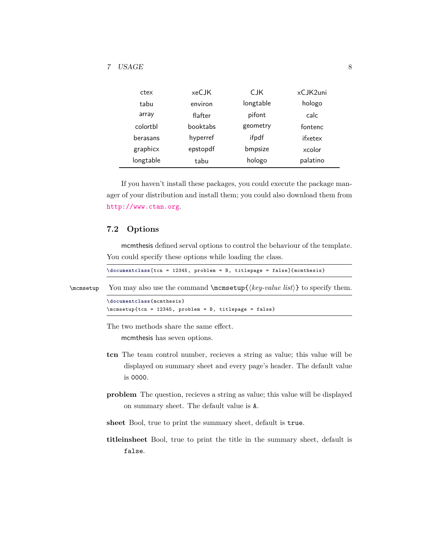| ctex      | xeCJK           | <b>CJK</b> | xCJK2uni |
|-----------|-----------------|------------|----------|
| tabu      | environ         | longtable  | hologo   |
| array     | flafter         | pifont     | calc     |
| colorthl  | <b>booktabs</b> | geometry   | fontenc  |
| berasans  | hyperref        | ifpdf      | ifxetex  |
| graphicx  | epstopdf        | bmpsize    | xcolor   |
| longtable | tabu            | hologo     | palatino |

If you haven't install these packages, you could execute the package manager of your distribution and install them; you could also download them from <http://www.ctan.org>.

#### **7.2 Options**

mcmthesis defined serval options to control the behaviour of the template. You could specify these options while loading the class.

\**documentclass**[tcn = 12345, problem = B, titlepage = false]{mcmthesis}

```
\mcmsetup You may also use the command \mcmsetup{\{key-value list\} to specify them.
```

```
\documentclass{mcmthesis}
\mcmsetup{tcn = 12345, problem = B, titlepage = false}
```
The two methods share the same effect.

mcmthesis has seven options.

- **tcn** The team control number, recieves a string as value; this value will be displayed on summary sheet and every page's header. The default value is 0000.
- **problem** The question, recieves a string as value; this value will be displayed on summary sheet. The default value is A.
- **sheet** Bool, true to print the summary sheet, default is true.
- **titleinsheet** Bool, true to print the title in the summary sheet, default is false.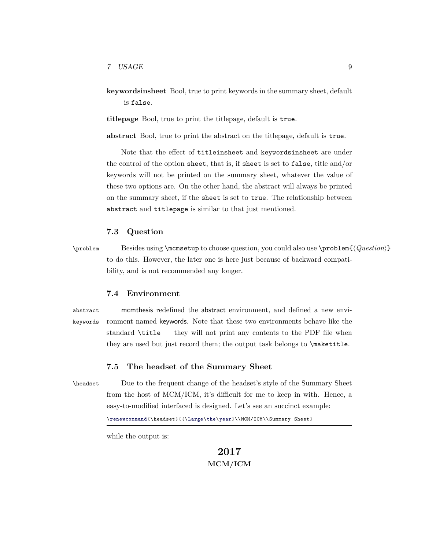**keywordsinsheet** Bool, true to print keywords in the summary sheet, default is false.

**titlepage** Bool, true to print the titlepage, default is true.

**abstract** Bool, true to print the abstract on the titlepage, default is true.

Note that the effect of titleinsheet and keywordsinsheet are under the control of the option sheet, that is, if sheet is set to false, title and/or keywords will not be printed on the summary sheet, whatever the value of these two options are. On the other hand, the abstract will always be printed on the summary sheet, if the sheet is set to true. The relationship between abstract and titlepage is similar to that just mentioned.

#### **7.3 Question**

\problem Besides using \mcmsetup to choose question, you could also use \problem{*⟨Question⟩*} to do this. However, the later one is here just because of backward compatibility, and is not recommended any longer.

#### **7.4 Environment**

abstract mcmthesis redefined the abstract environment, and defined a new envikeywords ronment named keywords. Note that these two environments behave like the standard \title — they will not print any contents to the PDF file when they are used but just record them; the output task belongs to \maketitle.

#### **7.5 The headset of the Summary Sheet**

\headset Due to the frequent change of the headset's style of the Summary Sheet from the host of MCM/ICM, it's difficult for me to keep in with. Hence, a easy-to-modified interfaced is designed. Let's see an succinct example:

```
\renewcommand{\headset}{{\Large\the\year}\\MCM/ICM\\Summary Sheet}
```
while the output is:

**2017 MCM/ICM**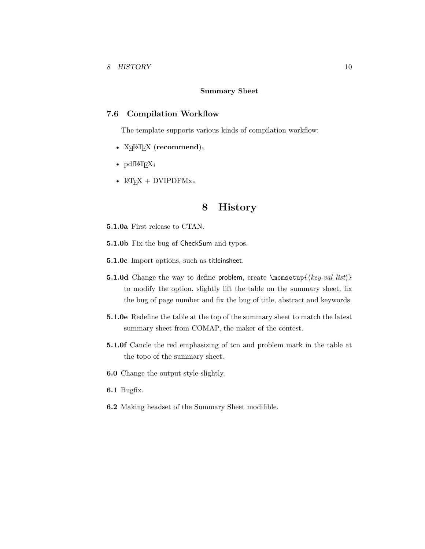#### **Summary Sheet**

#### **7.6 Compilation Workflow**

The template supports various kinds of compilation workflow:

- XƎLATEX (**recommend**);
- $pdfIATFX;$
- $L^{\text{AT}}E^X$  + DVIPDFMx.

## **8 History**

- **5.1.0a** First release to CTAN.
- **5.1.0b** Fix the bug of CheckSum and typos.
- **5.1.0c** Import options, such as titleinsheet.
- **5.1.0d** Change the way to define problem, create \mcmsetup{*⟨key-val list⟩*} to modify the option, slightly lift the table on the summary sheet, fix the bug of page number and fix the bug of title, abstract and keywords.
- **5.1.0e** Redefine the table at the top of the summary sheet to match the latest summary sheet from COMAP, the maker of the contest.
- **5.1.0f** Cancle the red emphasizing of tcn and problem mark in the table at the topo of the summary sheet.
- **6.0** Change the output style slightly.
- **6.1** Bugfix.
- **6.2** Making headset of the Summary Sheet modifible.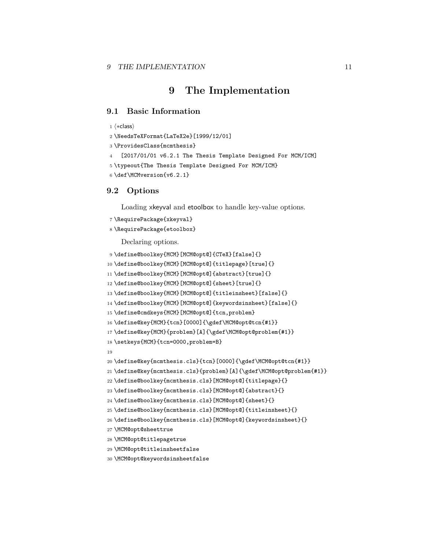## **9 The Implementation**

#### **9.1 Basic Information**

```
1 ⟨∗class⟩
```

```
2 \NeedsTeXFormat{LaTeX2e}[1999/12/01]
```

```
3 \ProvidesClass{mcmthesis}
```

```
4 [2017/01/01 v6.2.1 The Thesis Template Designed For MCM/ICM]
```
\typeout{The Thesis Template Designed For MCM/ICM}

```
6 \def\MCMversion{v6.2.1}
```
#### **9.2 Options**

Loading xkeyval and etoolbox to handle key-value options.

```
7 \RequirePackage{xkeyval}
```

```
8 \RequirePackage{etoolbox}
```
Declaring options.

```
9 \define@boolkey{MCM}[MCM@opt@]{CTeX}[false]{}
10 \define@boolkey{MCM}[MCM@opt@]{titlepage}[true]{}
11 \define@boolkey{MCM}[MCM@opt@]{abstract}[true]{}
12 \define@boolkey{MCM}[MCM@opt@]{sheet}[true]{}
13 \define@boolkey{MCM}[MCM@opt@]{titleinsheet}[false]{}
14 \define@boolkey{MCM}[MCM@opt@]{keywordsinsheet}[false]{}
15 \define@cmdkeys{MCM}[MCM@opt@]{tcn,problem}
16 \define@key{MCM}{tcn}[0000]{\gdef\MCM@opt@tcn{#1}}
17 \define@key{MCM}{problem}[A]{\gdef\MCM@opt@problem{#1}}
18 \setkeys{MCM}{tcn=0000,problem=B}
19
20 \define@key{mcmthesis.cls}{tcn}[0000]{\gdef\MCM@opt@tcn{#1}}
21 \define@key{mcmthesis.cls}{problem}[A]{\gdef\MCM@opt@problem{#1}}
22 \define@boolkey{mcmthesis.cls}[MCM@opt@]{titlepage}{}
23 \define@boolkey{mcmthesis.cls}[MCM@opt@]{abstract}{}
24 \define@boolkey{mcmthesis.cls}[MCM@opt@]{sheet}{}
25 \define@boolkey{mcmthesis.cls}[MCM@opt@]{titleinsheet}{}
26 \define@boolkey{mcmthesis.cls}[MCM@opt@]{keywordsinsheet}{}
27 \MCM@opt@sheettrue
28 \MCM@opt@titlepagetrue
29 \MCM@opt@titleinsheetfalse
```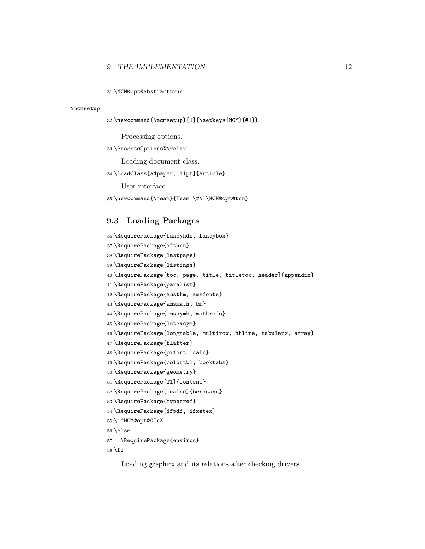#### *9 THE IMPLEMENTATION* 12

\MCM@opt@abstracttrue

#### \mcmsetup

```
32 \newcommand{\mcmsetup}[1]{\setkeys{MCM}{#1}}
```
Processing options.

#### \ProcessOptionsX\relax

Loading document class.

#### \LoadClass[a4paper, 11pt]{article}

User interface.

```
35 \newcommand{\team}{Team \#\ \MCM@opt@tcn}
```
#### **9.3 Loading Packages**

```
36 \RequirePackage{fancyhdr, fancybox}
37 \RequirePackage{ifthen}
38 \RequirePackage{lastpage}
39 \RequirePackage{listings}
40 \RequirePackage[toc, page, title, titletoc, header]{appendix}
41 \RequirePackage{paralist}
42 \RequirePackage{amsthm, amsfonts}
43 \RequirePackage{amsmath, bm}
44 \RequirePackage{amssymb, mathrsfs}
45 \RequirePackage{latexsym}
46 \RequirePackage{longtable, multirow, hhline, tabularx, array}
47 \RequirePackage{flafter}
48 \RequirePackage{pifont, calc}
49 \RequirePackage{colortbl, booktabs}
50 \RequirePackage{geometry}
51 \RequirePackage[T1]{fontenc}
52 \RequirePackage[scaled]{berasans}
53 \RequirePackage{hyperref}
54 \RequirePackage{ifpdf, ifxetex}
55 \ifMCM@opt@CTeX
56 \else
57 \RequirePackage{environ}
```
\fi

Loading graphicx and its relations after checking drivers.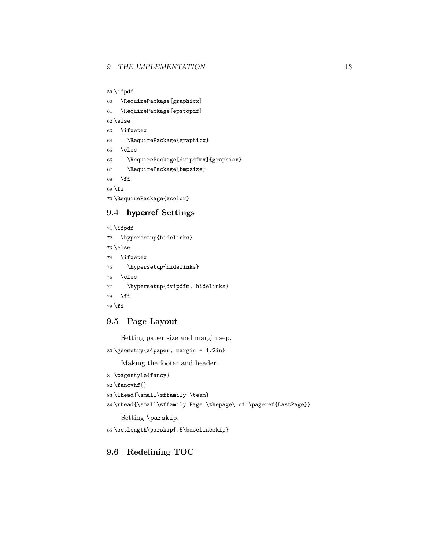```
59 \ifpdf
```
60 \RequirePackage{graphicx}

61 \RequirePackage{epstopdf}

62 \else

```
63 \ifxetex
```

```
64 \RequirePackage{graphicx}
```

```
65 \else
```
66 \RequirePackage[dvipdfmx]{graphicx}

```
67 \RequirePackage{bmpsize}
```
68  $\overline{f}$ 

69 \fi

70 \RequirePackage{xcolor}

#### **9.4 hyperref Settings**

71 \ifpdf 72 \hypersetup{hidelinks} 73 \else 74 \ifxetex 75 \hypersetup{hidelinks} 76 \else 77 \hypersetup{dvipdfm, hidelinks} 78  $\forall$ fi 79  $\fi$ 

### **9.5 Page Layout**

Setting paper size and margin sep.

```
80 \geometry{a4paper, margin = 1.2in}
```
Making the footer and header.

```
81 \pagestyle{fancy}
82 \fancyhf{}
83\lhead{\small\sffamily \team}
84 \rhead{\small\sffamily Page \thepage\ of \pageref{LastPage}}
    Setting \parskip.
```
85 \setlength\parskip{.5\baselineskip}

### **9.6 Redefining TOC**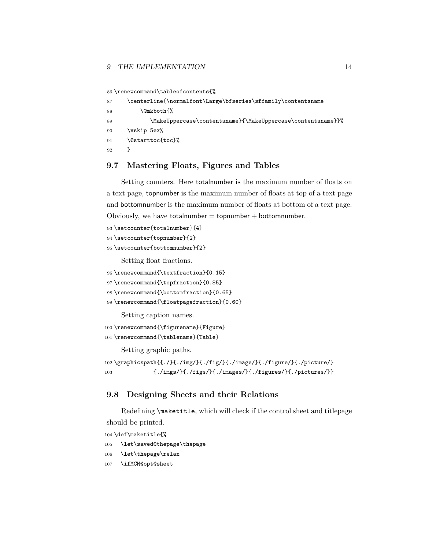#### *9 THE IMPLEMENTATION* 14

```
86 \renewcommand\tableofcontents{%
```

| 87 | \centerline{\normalfont\Large\bfseries\sffamily\contentsname\ |
|----|---------------------------------------------------------------|
| 88 | \@mkboth{%                                                    |
| 89 | \MakeUppercase\contentsname}{\MakeUppercase\contentsname}}%   |
| 90 | \vskip 5ex%                                                   |
| 91 | \@starttoc{toc}%                                              |
| 92 |                                                               |

#### **9.7 Mastering Floats, Figures and Tables**

Setting counters. Here totalnumber is the maximum number of floats on a text page, topnumber is the maximum number of floats at top of a text page and bottomnumber is the maximum number of floats at bottom of a text page. Obviously, we have  $totalnumber = topnumber + bottomnumber$ .

```
93 \setcounter{totalnumber}{4}
```

```
94 \setcounter{topnumber}{2}
```

```
95 \setcounter{bottomnumber}{2}
```
Setting float fractions.

```
96 \renewcommand{\textfraction}{0.15}
```

```
97\renewcommand{\topfraction}{0.85}
```

```
98 \renewcommand{\bottomfraction}{0.65}
```

```
99 \renewcommand{\floatpagefraction}{0.60}
```
Setting caption names.

```
100 \renewcommand{\figurename}{Figure}
```

```
101 \renewcommand{\tablename}{Table}
```
Setting graphic paths.

```
102 \graphicspath{{./}{./img/}{./fig/}{./image/}{./figure/}{./picture/}
103 {./imgs/}{./figs/}{./images/}{./figures/}{./pictures/}}
```
#### **9.8 Designing Sheets and their Relations**

Redefining \maketitle, which will check if the control sheet and titlepage should be printed.

```
104 \def\maketitle{%
```
- \let\saved@thepage\thepage
- \let\thepage\relax
- \ifMCM@opt@sheet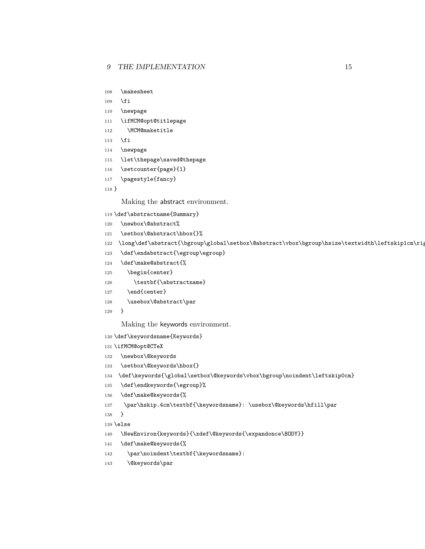- \makesheet
- \fi
- \newpage
- \ifMCM@opt@titlepage
- \MCM@maketitle
- \fi
- \newpage
- \let\thepage\saved@thepage
- \setcounter{page}{1}
- \pagestyle{fancy}

}

Making the abstract environment.

- \def\abstractname{Summary}
- \newbox\@abstract%
- 121 \setbox\@abstract\hbox{}%
- 122 \long\def\abstract{\bgroup\global\setbox\@abstract\vbox\bgroup\hsize\textwidth\leftskip1cm\riq
- 123 \def\endabstract{\egroup\egroup}
- \def\make@abstract{%
- 125 \begin{center}
- 126 \textbf{\abstractname}
- 127 \end{center}
- 128 \usebox\@abstract\par
- }

Making the keywords environment.

- \def\keywordsname{Keywords}
- \ifMCM@opt@CTeX
- \newbox\@keywords
- 133 \setbox\@keywords\hbox{}
- \def\keywords{\global\setbox\@keywords\vbox\bgroup\noindent\leftskip0cm}
- \def\endkeywords{\egroup}%
- \def\make@keywords{%
- 137 \par\hskip.4cm\textbf{\keywordsname}: \usebox\@keywords\hfill\par
- }
- \else
- \NewEnviron{keywords}{\xdef\@keywords{\expandonce\BODY}}
- \def\make@keywords{%
- 142 \par\noindent\textbf{\keywordsname}:
- 143 \@keywords\par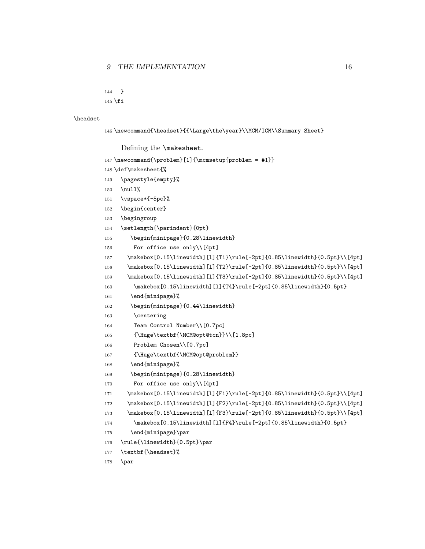```
144 }
```

```
145 \fi
```
#### \headset

```
146 \newcommand{\headset}{{\Large\the\year}\\MCM/ICM\\Summary Sheet}
```
Defining the \makesheet.

```
147 \newcommand{\problem}[1]{\mcmsetup{problem = #1}}
```

```
148 \def\makesheet{%
```
- 149 \pagestyle{empty}%
- 150 \null%
- 151 \vspace\*{-5pc}%
- 152 \begin{center}
- 153 \begingroup
- 154 \setlength{\parindent}{0pt}
- 155 \begin{minipage}{0.28\linewidth}
- 156 For office use only\\[4pt]
- 157 \makebox[0.15\linewidth][l]{T1}\rule[-2pt]{0.85\linewidth}{0.5pt}\\[4pt]
- 158 \makebox[0.15\linewidth][l]{T2}\rule[-2pt]{0.85\linewidth}{0.5pt}\\[4pt]
- 159 \makebox[0.15\linewidth][l]{T3}\rule[-2pt]{0.85\linewidth}{0.5pt}\\[4pt]
- 160 \makebox[0.15\linewidth][l]{T4}\rule[-2pt]{0.85\linewidth}{0.5pt}
- 161 \end{minipage}%
- 162 \begin{minipage}{0.44\linewidth}
- 163 \centering
- 164 Team Control Number\\[0.7pc]
- 165 {\Huge\textbf{\MCM@opt@tcn}}\\[1.8pc]
- 166 Problem Chosen\\[0.7pc]
- 167 {\Huge\textbf{\MCM@opt@problem}}
- 168 \end{minipage}%
- 169 \begin{minipage}{0.28\linewidth}
- 170 For office use only\\[4pt]
- 171 \makebox[0.15\linewidth][l]{F1}\rule[-2pt]{0.85\linewidth}{0.5pt}\\[4pt]
- 172 \makebox[0.15\linewidth][l]{F2}\rule[-2pt]{0.85\linewidth}{0.5pt}\\[4pt]

```
173 \makebox[0.15\linewidth][l]{F3}\rule[-2pt]{0.85\linewidth}{0.5pt}\\[4pt]
```

```
174 \makebox[0.15\linewidth][l]{F4}\rule[-2pt]{0.85\linewidth}{0.5pt}
```
- 175 \end{minipage}\par
- 176 \rule{\linewidth}{0.5pt}\par
- 177 \textbf{\headset}%
- 178 \par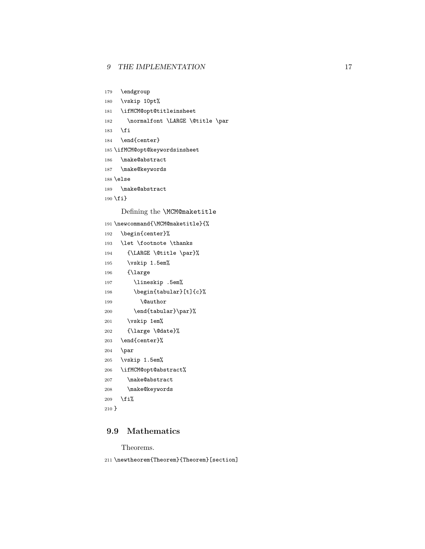```
179 \endgroup
```

```
180 \vskip 10pt%
```

```
181 \ifMCM@opt@titleinsheet
```
- 182 \normalfont \LARGE \@title \par
- \fi

```
184 \end{center}
```
\ifMCM@opt@keywordsinsheet

- \make@abstract
- \make@keywords

```
188 \else
```

```
189 \make@abstract
```

```
190 \fi}
```
Defining the \MCM@maketitle

```
191 \newcommand{\MCM@maketitle}{%
192 \begin{center}%
193 \let \footnote \thanks
194 {\LARGE \@title \par}%
195 \vskip 1.5em%
196 {\large
197 \lineskip .5em%
198 \begin{tabular}[t]{c}%
199 \@author
200 \end{tabular}\par}%
201 \vskip 1em%
202 {\large \@date}%
203 \end{center}%
204 \par
205 \vskip 1.5em%
206 \ifMCM@opt@abstract%
207 \make@abstract
208 \make@keywords
209 \overline{\text{f}i\text{}}210 }
```
## **9.9 Mathematics**

Theorems.

\newtheorem{Theorem}{Theorem}[section]